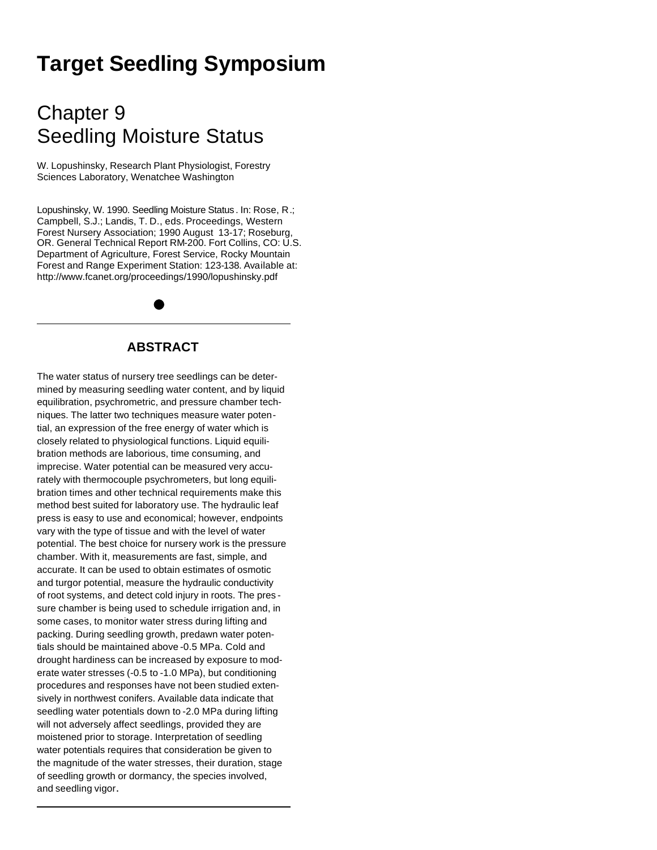# **Target Seedling Symposium**

## Chapter 9 Seedling Moisture Status

W. Lopushinsky, Research Plant Physiologist, Forestry Sciences Laboratory, Wenatchee Washington

Lopushinsky, W. 1990. Seedling Moisture Status . In: Rose, R.; Campbell, S.J.; Landis, T. D., eds. Proceedings, Western Forest Nursery Association; 1990 August 13-17; Roseburg, OR. General Technical Report RM-200. Fort Collins, CO: U.S. Department of Agriculture, Forest Service, Rocky Mountain Forest and Range Experiment Station: 123-138. Available at: http://www.fcanet.org/proceedings/1990/lopushinsky.pdf

## **ABSTRACT**

The water status of nursery tree seedlings can be determined by measuring seedling water content, and by liquid equilibration, psychrometric, and pressure chamber techniques. The latter two techniques measure water potential, an expression of the free energy of water which is closely related to physiological functions. Liquid equilibration methods are laborious, time consuming, and imprecise. Water potential can be measured very accurately with thermocouple psychrometers, but long equilibration times and other technical requirements make this method best suited for laboratory use. The hydraulic leaf press is easy to use and economical; however, endpoints vary with the type of tissue and with the level of water potential. The best choice for nursery work is the pressure chamber. With it, measurements are fast, simple, and accurate. It can be used to obtain estimates of osmotic and turgor potential, measure the hydraulic conductivity of root systems, and detect cold injury in roots. The pres sure chamber is being used to schedule irrigation and, in some cases, to monitor water stress during lifting and packing. During seedling growth, predawn water potentials should be maintained above -0.5 MPa. Cold and drought hardiness can be increased by exposure to moderate water stresses (-0.5 to -1.0 MPa), but conditioning procedures and responses have not been studied extensively in northwest conifers. Available data indicate that seedling water potentials down to -2.0 MPa during lifting will not adversely affect seedlings, provided they are moistened prior to storage. Interpretation of seedling water potentials requires that consideration be given to the magnitude of the water stresses, their duration, stage of seedling growth or dormancy, the species involved, and seedling vigor.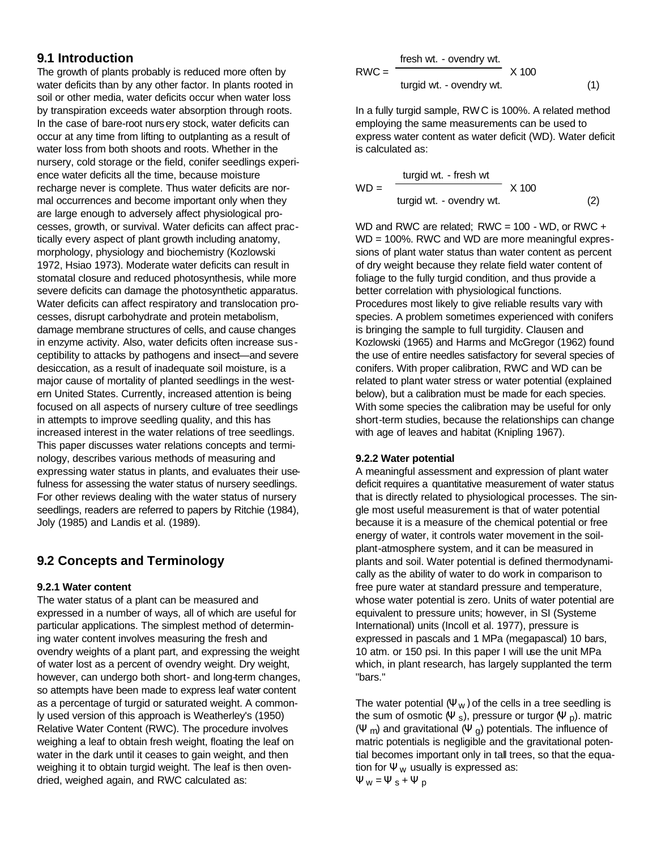## **9.1 Introduction**

The growth of plants probably is reduced more often by water deficits than by any other factor. In plants rooted in soil or other media, water deficits occur when water loss by transpiration exceeds water absorption through roots. In the case of bare-root nursery stock, water deficits can occur at any time from lifting to outplanting as a result of water loss from both shoots and roots. Whether in the nursery, cold storage or the field, conifer seedlings experience water deficits all the time, because moisture recharge never is complete. Thus water deficits are normal occurrences and become important only when they are large enough to adversely affect physiological processes, growth, or survival. Water deficits can affect practically every aspect of plant growth including anatomy, morphology, physiology and biochemistry (Kozlowski 1972, Hsiao 1973). Moderate water deficits can result in stomatal closure and reduced photosynthesis, while more severe deficits can damage the photosynthetic apparatus. Water deficits can affect respiratory and translocation processes, disrupt carbohydrate and protein metabolism, damage membrane structures of cells, and cause changes in enzyme activity. Also, water deficits often increase sus ceptibility to attacks by pathogens and insect—and severe desiccation, as a result of inadequate soil moisture, is a major cause of mortality of planted seedlings in the western United States. Currently, increased attention is being focused on all aspects of nursery culture of tree seedlings in attempts to improve seedling quality, and this has increased interest in the water relations of tree seedlings. This paper discusses water relations concepts and terminology, describes various methods of measuring and expressing water status in plants, and evaluates their usefulness for assessing the water status of nursery seedlings. For other reviews dealing with the water status of nursery seedlings, readers are referred to papers by Ritchie (1984), Joly (1985) and Landis et al. (1989).

### **9.2 Concepts and Terminology**

#### **9.2.1 Water content**

The water status of a plant can be measured and expressed in a number of ways, all of which are useful for particular applications. The simplest method of determining water content involves measuring the fresh and ovendry weights of a plant part, and expressing the weight of water lost as a percent of ovendry weight. Dry weight, however, can undergo both short- and long-term changes, so attempts have been made to express leaf water content as a percentage of turgid or saturated weight. A commonly used version of this approach is Weatherley's (1950) Relative Water Content (RWC). The procedure involves weighing a leaf to obtain fresh weight, floating the leaf on water in the dark until it ceases to gain weight, and then weighing it to obtain turgid weight. The leaf is then ovendried, weighed again, and RWC calculated as:

$$
RWC = \frac{\text{ fresh wt. - overdry wt.}}{\text{turgid wt. - overdry wt.}} \times 100
$$
 (1)

In a fully turgid sample, RWC is 100%. A related method employing the same measurements can be used to express water content as water deficit (WD). Water deficit is calculated as:

$$
WD = \frac{\text{turgid wt. - fresh wt}}{\text{turgid wt. - overdry wt.}} \times 100
$$
 (2)

WD and RWC are related: RWC = 100 - WD, or RWC + WD = 100%. RWC and WD are more meaningful expressions of plant water status than water content as percent of dry weight because they relate field water content of foliage to the fully turgid condition, and thus provide a better correlation with physiological functions. Procedures most likely to give reliable results vary with species. A problem sometimes experienced with conifers is bringing the sample to full turgidity. Clausen and Kozlowski (1965) and Harms and McGregor (1962) found the use of entire needles satisfactory for several species of conifers. With proper calibration, RWC and WD can be related to plant water stress or water potential (explained below), but a calibration must be made for each species. With some species the calibration may be useful for only short-term studies, because the relationships can change with age of leaves and habitat (Knipling 1967).

#### **9.2.2 Water potential**

A meaningful assessment and expression of plant water deficit requires a quantitative measurement of water status that is directly related to physiological processes. The single most useful measurement is that of water potential because it is a measure of the chemical potential or free energy of water, it controls water movement in the soilplant-atmosphere system, and it can be measured in plants and soil. Water potential is defined thermodynamically as the ability of water to do work in comparison to free pure water at standard pressure and temperature, whose water potential is zero. Units of water potential are equivalent to pressure units; however, in SI (Systeme International) units (Incoll et al. 1977), pressure is expressed in pascals and 1 MPa (megapascal) 10 bars, 10 atm. or 150 psi. In this paper I will use the unit MPa which, in plant research, has largely supplanted the term "bars."

The water potential  $(\Psi_W)$  of the cells in a tree seedling is the sum of osmotic (Ψ s), pressure or turgor (Ψ <sub>p</sub>). matric (Ψ m) and gravitational (Ψ g) potentials. The influence of matric potentials is negligible and the gravitational potential becomes important only in tall trees, so that the equation for  $\Psi_{\mathsf{W}}$  usually is expressed as:  $\Psi_W = \Psi_s + \Psi_p$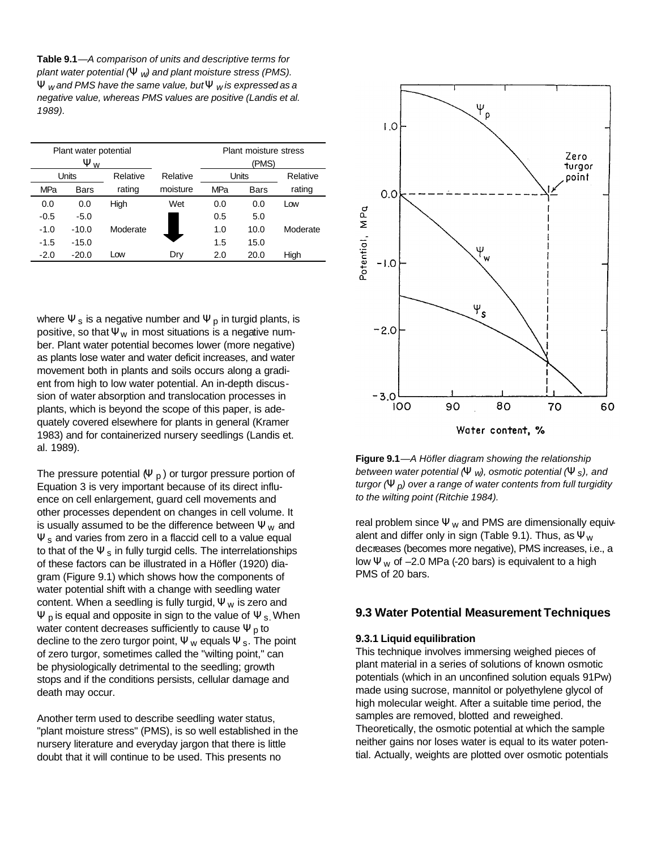**Table 9.1**—*A comparison of units and descriptive terms for plant water potential (Y w) and plant moisture stress (PMS). Y w and PMS have the same value, but Y w is expressed as a negative value, whereas PMS values are positive (Landis et al. 1989).*

|        | Plant water potential<br>$\Psi_{W}$ |          |          | Plant moisture stress<br>(PMS) |      |          |
|--------|-------------------------------------|----------|----------|--------------------------------|------|----------|
| Units  |                                     | Relative | Relative | Units                          |      | Relative |
| MPa    | <b>Bars</b>                         | rating   | moisture | MPa                            | Bars | rating   |
| 0.0    | 0.0                                 | High     | Wet      | 0.0                            | 0.0  | Low      |
| $-0.5$ | $-5.0$                              |          |          | 0.5                            | 5.0  |          |
| $-1.0$ | $-10.0$                             | Moderate |          | 1.0                            | 10.0 | Moderate |
| $-1.5$ | $-15.0$                             |          |          | 1.5                            | 15.0 |          |
| $-2.0$ | $-20.0$                             | Low      | Dry      | 2.0                            | 20.0 | High     |

where  $\Psi_s$  is a negative number and  $\Psi_p$  in turgid plants, is positive, so that  $\Psi_W$  in most situations is a negative number. Plant water potential becomes lower (more negative) as plants lose water and water deficit increases, and water movement both in plants and soils occurs along a gradient from high to low water potential. An in-depth discussion of water absorption and translocation processes in plants, which is beyond the scope of this paper, is adequately covered elsewhere for plants in general (Kramer 1983) and for containerized nursery seedlings (Landis et. al. 1989).

The pressure potential  $(\Psi_D)$  or turgor pressure portion of Equation 3 is very important because of its direct influence on cell enlargement, guard cell movements and other processes dependent on changes in cell volume. It is usually assumed to be the difference between  $\Psi_{\mathbf{w}}$  and  $\Psi$ <sub>s</sub> and varies from zero in a flaccid cell to a value equal to that of the  $\Psi_s$  in fully turgid cells. The interrelationships of these factors can be illustrated in a Höfler (1920) diagram (Figure 9.1) which shows how the components of water potential shift with a change with seedling water content. When a seedling is fully turgid,  $\Psi_{w}$  is zero and  $\Psi$  p is equal and opposite in sign to the value of  $\Psi$  s. When water content decreases sufficiently to cause  $\Psi_p$  to decline to the zero turgor point,  $\Psi_{w}$  equals  $\Psi_{s}$ . The point of zero turgor, sometimes called the "wilting point," can be physiologically detrimental to the seedling; growth stops and if the conditions persists, cellular damage and death may occur.

Another term used to describe seedling water status, "plant moisture stress" (PMS), is so well established in the nursery literature and everyday jargon that there is little doubt that it will continue to be used. This presents no



**Figure 9.1**—*A Höfler diagram showing the relationship between water potential (Y w), osmotic potential (Y s), and turgor (Y p) over a range of water contents from full turgidity to the wilting point (Ritchie 1984).*

real problem since  $\Psi_{\mathbf{w}}$  and PMS are dimensionally equivalent and differ only in sign (Table 9.1). Thus, as  $\Psi_{\mathsf{W}}$ decreases (becomes more negative), PMS increases, i.e., a low  $\Psi$ <sub>w</sub> of -2.0 MPa (-20 bars) is equivalent to a high PMS of 20 bars.

#### **9.3 Water Potential Measurement Techniques**

#### **9.3.1 Liquid equilibration**

This technique involves immersing weighed pieces of plant material in a series of solutions of known osmotic potentials (which in an unconfined solution equals 91Pw) made using sucrose, mannitol or polyethylene glycol of high molecular weight. After a suitable time period, the samples are removed, blotted and reweighed. Theoretically, the osmotic potential at which the sample neither gains nor loses water is equal to its water potential. Actually, weights are plotted over osmotic potentials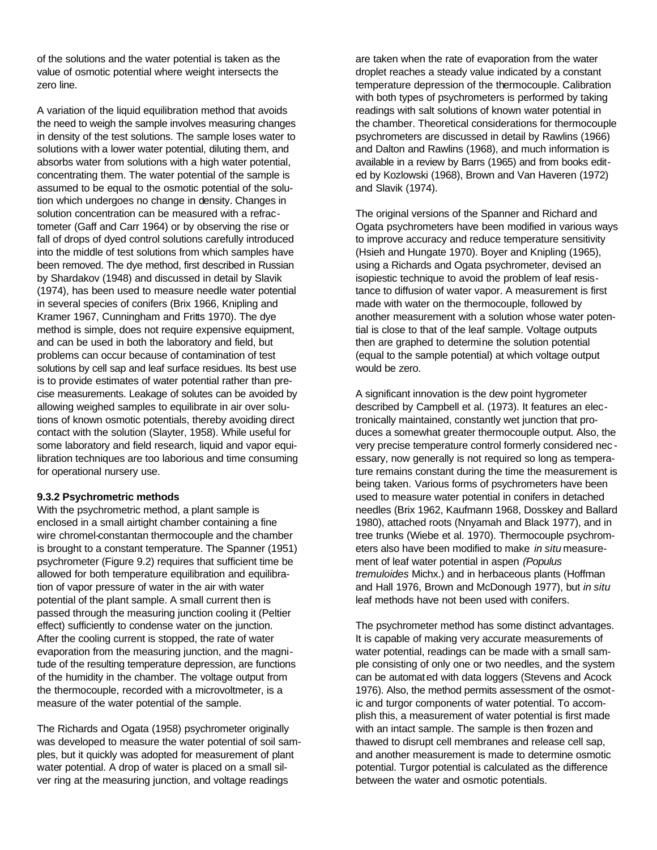of the solutions and the water potential is taken as the value of osmotic potential where weight intersects the zero line.

A variation of the liquid equilibration method that avoids the need to weigh the sample involves measuring changes in density of the test solutions. The sample loses water to solutions with a lower water potential, diluting them, and absorbs water from solutions with a high water potential, concentrating them. The water potential of the sample is assumed to be equal to the osmotic potential of the solution which undergoes no change in density. Changes in solution concentration can be measured with a refractometer (Gaff and Carr 1964) or by observing the rise or fall of drops of dyed control solutions carefully introduced into the middle of test solutions from which samples have been removed. The dye method, first described in Russian by Shardakov (1948) and discussed in detail by Slavik (1974), has been used to measure needle water potential in several species of conifers (Brix 1966, Knipling and Kramer 1967, Cunningham and Fritts 1970). The dye method is simple, does not require expensive equipment, and can be used in both the laboratory and field, but problems can occur because of contamination of test solutions by cell sap and leaf surface residues. Its best use is to provide estimates of water potential rather than precise measurements. Leakage of solutes can be avoided by allowing weighed samples to equilibrate in air over solutions of known osmotic potentials, thereby avoiding direct contact with the solution (Slayter, 1958). While useful for some laboratory and field research, liquid and vapor equilibration techniques are too laborious and time consuming for operational nursery use.

#### **9.3.2 Psychrometric methods**

With the psychrometric method, a plant sample is enclosed in a small airtight chamber containing a fine wire chromel-constantan thermocouple and the chamber is brought to a constant temperature. The Spanner (1951) psychrometer (Figure 9.2) requires that sufficient time be allowed for both temperature equilibration and equilibration of vapor pressure of water in the air with water potential of the plant sample. A small current then is passed through the measuring junction cooling it (Peltier effect) sufficiently to condense water on the junction. After the cooling current is stopped, the rate of water evaporation from the measuring junction, and the magnitude of the resulting temperature depression, are functions of the humidity in the chamber. The voltage output from the thermocouple, recorded with a microvoltmeter, is a measure of the water potential of the sample.

The Richards and Ogata (1958) psychrometer originally was developed to measure the water potential of soil samples, but it quickly was adopted for measurement of plant water potential. A drop of water is placed on a small silver ring at the measuring junction, and voltage readings

are taken when the rate of evaporation from the water droplet reaches a steady value indicated by a constant temperature depression of the thermocouple. Calibration with both types of psychrometers is performed by taking readings with salt solutions of known water potential in the chamber. Theoretical considerations for thermocouple psychrometers are discussed in detail by Rawlins (1966) and Dalton and Rawlins (1968), and much information is available in a review by Barrs (1965) and from books edited by Kozlowski (1968), Brown and Van Haveren (1972) and Slavik (1974).

The original versions of the Spanner and Richard and Ogata psychrometers have been modified in various ways to improve accuracy and reduce temperature sensitivity (Hsieh and Hungate 1970). Boyer and Knipling (1965), using a Richards and Ogata psychrometer, devised an isopiestic technique to avoid the problem of leaf resistance to diffusion of water vapor. A measurement is first made with water on the thermocouple, followed by another measurement with a solution whose water potential is close to that of the leaf sample. Voltage outputs then are graphed to determine the solution potential (equal to the sample potential) at which voltage output would be zero.

A significant innovation is the dew point hygrometer described by Campbell et al. (1973). It features an electronically maintained, constantly wet junction that produces a somewhat greater thermocouple output. Also, the very precise temperature control formerly considered nec essary, now generally is not required so long as temperature remains constant during the time the measurement is being taken. Various forms of psychrometers have been used to measure water potential in conifers in detached needles (Brix 1962, Kaufmann 1968, Dosskey and Ballard 1980), attached roots (Nnyamah and Black 1977), and in tree trunks (Wiebe et al. 1970). Thermocouple psychrometers also have been modified to make *in situ* measurement of leaf water potential in aspen *(Populus tremuloides* Michx.) and in herbaceous plants (Hoffman and Hall 1976, Brown and McDonough 1977), but *in situ* leaf methods have not been used with conifers.

The psychrometer method has some distinct advantages. It is capable of making very accurate measurements of water potential, readings can be made with a small sample consisting of only one or two needles, and the system can be automated with data loggers (Stevens and Acock 1976). Also, the method permits assessment of the osmotic and turgor components of water potential. To accomplish this, a measurement of water potential is first made with an intact sample. The sample is then frozen and thawed to disrupt cell membranes and release cell sap, and another measurement is made to determine osmotic potential. Turgor potential is calculated as the difference between the water and osmotic potentials.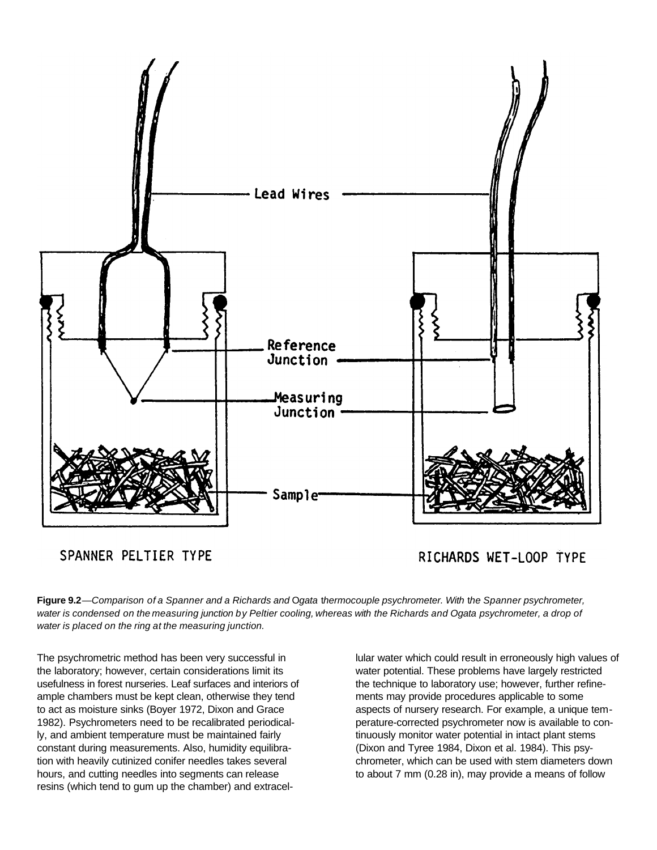

SPANNER PELTIER TYPE

RICHARDS WET-LOOP TYPE

**Figure 9.2***—Comparison of a Spanner and a Richards and* O*gata* t*hermocouple psychrometer. With* t*he Spanner psychrometer,* water is condensed on the measuring junction by Peltier cooling, whereas with the Richards and Ogata psychrometer, a drop of *water is placed on the ring at the measuring junction.*

The psychrometric method has been very successful in the laboratory; however, certain considerations limit its usefulness in forest nurseries. Leaf surfaces and interiors of ample chambers must be kept clean, otherwise they tend to act as moisture sinks (Boyer 1972, Dixon and Grace 1982). Psychrometers need to be recalibrated periodically, and ambient temperature must be maintained fairly constant during measurements. Also, humidity equilibration with heavily cutinized conifer needles takes several hours, and cutting needles into segments can release resins (which tend to gum up the chamber) and extracellular water which could result in erroneously high values of water potential. These problems have largely restricted the technique to laboratory use; however, further refinements may provide procedures applicable to some aspects of nursery research. For example, a unique temperature-corrected psychrometer now is available to continuously monitor water potential in intact plant stems (Dixon and Tyree 1984, Dixon et al. 1984). This psychrometer, which can be used with stem diameters down to about 7 mm (0.28 in), may provide a means of follow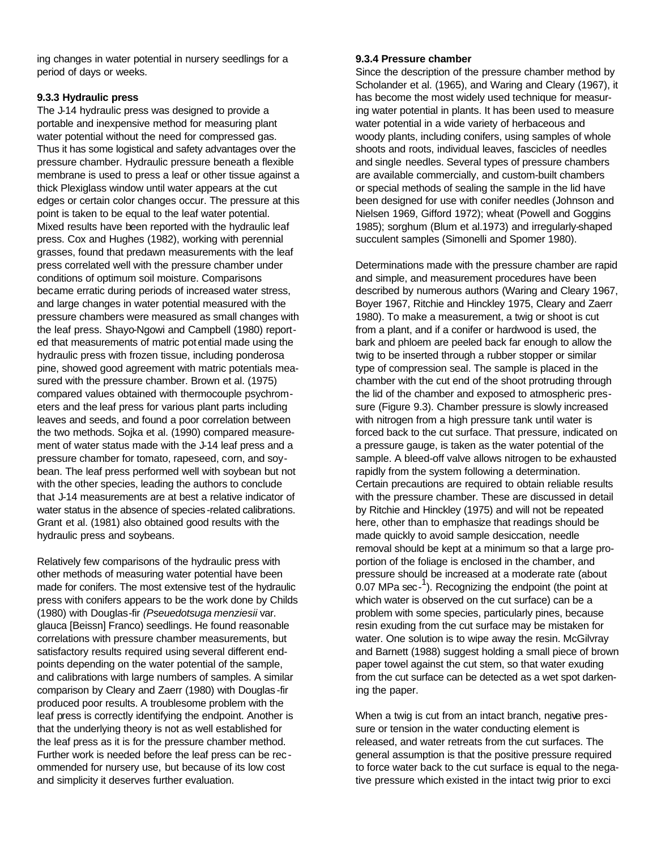ing changes in water potential in nursery seedlings for a period of days or weeks.

#### **9.3.3 Hydraulic press**

The J-14 hydraulic press was designed to provide a portable and inexpensive method for measuring plant water potential without the need for compressed gas. Thus it has some logistical and safety advantages over the pressure chamber. Hydraulic pressure beneath a flexible membrane is used to press a leaf or other tissue against a thick Plexiglass window until water appears at the cut edges or certain color changes occur. The pressure at this point is taken to be equal to the leaf water potential. Mixed results have been reported with the hydraulic leaf press. Cox and Hughes (1982), working with perennial grasses, found that predawn measurements with the leaf press correlated well with the pressure chamber under conditions of optimum soil moisture. Comparisons became erratic during periods of increased water stress, and large changes in water potential measured with the pressure chambers were measured as small changes with the leaf press. Shayo-Ngowi and Campbell (1980) reported that measurements of matric potential made using the hydraulic press with frozen tissue, including ponderosa pine, showed good agreement with matric potentials measured with the pressure chamber. Brown et al. (1975) compared values obtained with thermocouple psychrometers and the leaf press for various plant parts including leaves and seeds, and found a poor correlation between the two methods. Sojka et al. (1990) compared measurement of water status made with the J-14 leaf press and a pressure chamber for tomato, rapeseed, corn, and soybean. The leaf press performed well with soybean but not with the other species, leading the authors to conclude that J-14 measurements are at best a relative indicator of water status in the absence of species -related calibrations. Grant et al. (1981) also obtained good results with the hydraulic press and soybeans.

Relatively few comparisons of the hydraulic press with other methods of measuring water potential have been made for conifers. The most extensive test of the hydraulic press with conifers appears to be the work done by Childs (1980) with Douglas-fir *(Pseuedotsuga menziesii* var. glauca [Beissn] Franco) seedlings. He found reasonable correlations with pressure chamber measurements, but satisfactory results required using several different endpoints depending on the water potential of the sample, and calibrations with large numbers of samples. A similar comparison by Cleary and Zaerr (1980) with Douglas -fir produced poor results. A troublesome problem with the leaf press is correctly identifying the endpoint. Another is that the underlying theory is not as well established for the leaf press as it is for the pressure chamber method. Further work is needed before the leaf press can be rec ommended for nursery use, but because of its low cost and simplicity it deserves further evaluation.

#### **9.3.4 Pressure chamber**

Since the description of the pressure chamber method by Scholander et al. (1965), and Waring and Cleary (1967), it has become the most widely used technique for measuring water potential in plants. It has been used to measure water potential in a wide variety of herbaceous and woody plants, including conifers, using samples of whole shoots and roots, individual leaves, fascicles of needles and single needles. Several types of pressure chambers are available commercially, and custom-built chambers or special methods of sealing the sample in the lid have been designed for use with conifer needles (Johnson and Nielsen 1969, Gifford 1972); wheat (Powell and Goggins 1985); sorghum (Blum et al.1973) and irregularly-shaped succulent samples (Simonelli and Spomer 1980).

Determinations made with the pressure chamber are rapid and simple, and measurement procedures have been described by numerous authors (Waring and Cleary 1967, Boyer 1967, Ritchie and Hinckley 1975, Cleary and Zaerr 1980). To make a measurement, a twig or shoot is cut from a plant, and if a conifer or hardwood is used, the bark and phloem are peeled back far enough to allow the twig to be inserted through a rubber stopper or similar type of compression seal. The sample is placed in the chamber with the cut end of the shoot protruding through the lid of the chamber and exposed to atmospheric pressure (Figure 9.3). Chamber pressure is slowly increased with nitrogen from a high pressure tank until water is forced back to the cut surface. That pressure, indicated on a pressure gauge, is taken as the water potential of the sample. A bleed-off valve allows nitrogen to be exhausted rapidly from the system following a determination. Certain precautions are required to obtain reliable results with the pressure chamber. These are discussed in detail by Ritchie and Hinckley (1975) and will not be repeated here, other than to emphasize that readings should be made quickly to avoid sample desiccation, needle removal should be kept at a minimum so that a large proportion of the foliage is enclosed in the chamber, and pressure should be increased at a moderate rate (about  $0.07$  MPa sec-<sup>1</sup>). Recognizing the endpoint (the point at which water is observed on the cut surface) can be a problem with some species, particularly pines, because resin exuding from the cut surface may be mistaken for water. One solution is to wipe away the resin. McGilvray and Barnett (1988) suggest holding a small piece of brown paper towel against the cut stem, so that water exuding from the cut surface can be detected as a wet spot darkening the paper.

When a twig is cut from an intact branch, negative pressure or tension in the water conducting element is released, and water retreats from the cut surfaces. The general assumption is that the positive pressure required to force water back to the cut surface is equal to the negative pressure which existed in the intact twig prior to exci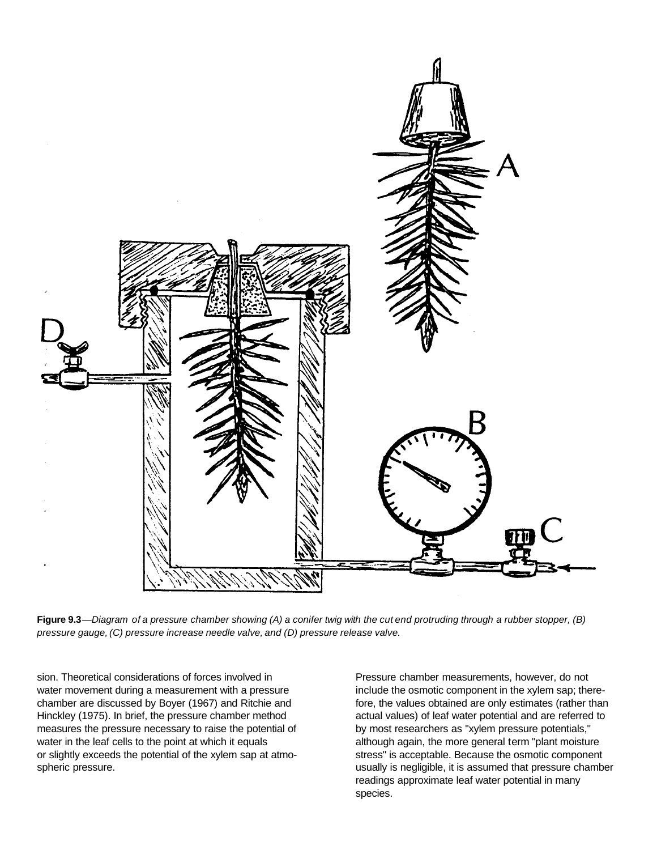

Figure 9.3—Diagram of a pressure chamber showing (A) a conifer twig with the cut end protruding through a rubber stopper, (B) *pressure gauge, (C) pressure increase needle valve, and (D) pressure release valve.*

sion. Theoretical considerations of forces involved in water movement during a measurement with a pressure chamber are discussed by Boyer (1967) and Ritchie and Hinckley (1975). In brief, the pressure chamber method measures the pressure necessary to raise the potential of water in the leaf cells to the point at which it equals or slightly exceeds the potential of the xylem sap at atmospheric pressure.

Pressure chamber measurements, however, do not include the osmotic component in the xylem sap; therefore, the values obtained are only estimates (rather than actual values) of leaf water potential and are referred to by most researchers as "xylem pressure potentials," although again, the more general term "plant moisture stress" is acceptable. Because the osmotic component usually is negligible, it is assumed that pressure chamber readings approximate leaf water potential in many species.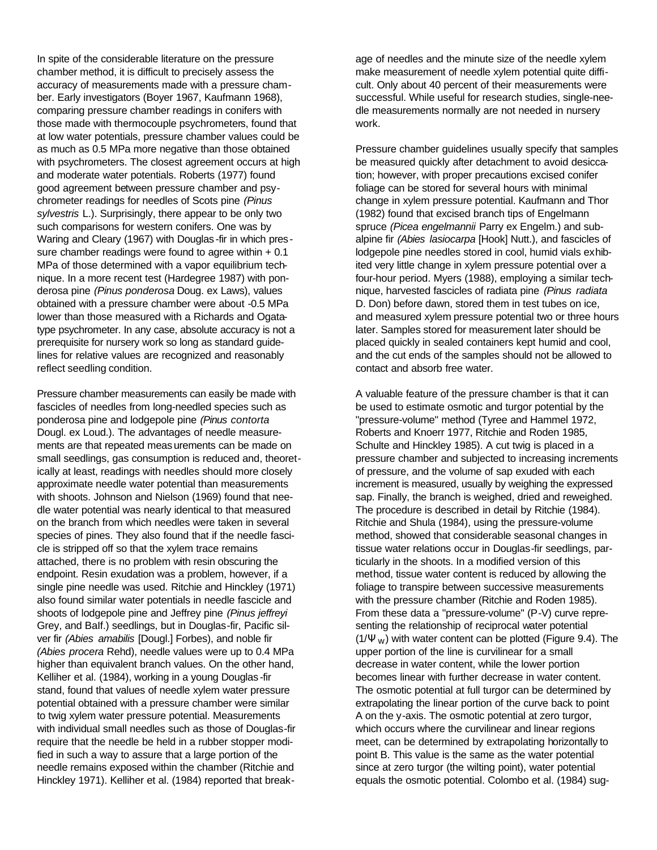In spite of the considerable literature on the pressure chamber method, it is difficult to precisely assess the accuracy of measurements made with a pressure chamber. Early investigators (Boyer 1967, Kaufmann 1968), comparing pressure chamber readings in conifers with those made with thermocouple psychrometers, found that at low water potentials, pressure chamber values could be as much as 0.5 MPa more negative than those obtained with psychrometers. The closest agreement occurs at high and moderate water potentials. Roberts (1977) found good agreement between pressure chamber and psychrometer readings for needles of Scots pine *(Pinus sylvestris* L.). Surprisingly, there appear to be only two such comparisons for western conifers. One was by Waring and Cleary (1967) with Douglas -fir in which pressure chamber readings were found to agree within  $+0.1$ MPa of those determined with a vapor equilibrium technique. In a more recent test (Hardegree 1987) with ponderosa pine *(Pinus ponderosa* Doug. ex Laws), values obtained with a pressure chamber were about -0.5 MPa lower than those measured with a Richards and Ogatatype psychrometer. In any case, absolute accuracy is not a prerequisite for nursery work so long as standard guidelines for relative values are recognized and reasonably reflect seedling condition.

Pressure chamber measurements can easily be made with fascicles of needles from long-needled species such as ponderosa pine and lodgepole pine *(Pinus contorta* Dougl. ex Loud.). The advantages of needle measurements are that repeated measurements can be made on small seedlings, gas consumption is reduced and, theoretically at least, readings with needles should more closely approximate needle water potential than measurements with shoots. Johnson and Nielson (1969) found that needle water potential was nearly identical to that measured on the branch from which needles were taken in several species of pines. They also found that if the needle fascicle is stripped off so that the xylem trace remains attached, there is no problem with resin obscuring the endpoint. Resin exudation was a problem, however, if a single pine needle was used. Ritchie and Hinckley (1971) also found similar water potentials in needle fascicle and shoots of lodgepole pine and Jeffrey pine *(Pinus jeffreyi* Grey, and BaIf.) seedlings, but in Douglas-fir, Pacific silver fir *(Abies amabilis* [Dougl.] Forbes), and noble fir *(Abies procera* Rehd), needle values were up to 0.4 MPa higher than equivalent branch values. On the other hand, Kelliher et al. (1984), working in a young Douglas -fir stand, found that values of needle xylem water pressure potential obtained with a pressure chamber were similar to twig xylem water pressure potential. Measurements with individual small needles such as those of Douglas-fir require that the needle be held in a rubber stopper modified in such a way to assure that a large portion of the needle remains exposed within the chamber (Ritchie and Hinckley 1971). Kelliher et al. (1984) reported that breakage of needles and the minute size of the needle xylem make measurement of needle xylem potential quite difficult. Only about 40 percent of their measurements were successful. While useful for research studies, single-needle measurements normally are not needed in nursery work.

Pressure chamber guidelines usually specify that samples be measured quickly after detachment to avoid desiccation; however, with proper precautions excised conifer foliage can be stored for several hours with minimal change in xylem pressure potential. Kaufmann and Thor (1982) found that excised branch tips of Engelmann spruce *(Picea engelmannii* Parry ex Engelm.) and subalpine fir *(Abies lasiocarpa* [Hook] Nutt.), and fascicles of lodgepole pine needles stored in cool, humid vials exhibited very little change in xylem pressure potential over a four-hour period. Myers (1988), employing a similar technique, harvested fascicles of radiata pine *(Pinus radiata* D. Don) before dawn, stored them in test tubes on ice, and measured xylem pressure potential two or three hours later. Samples stored for measurement later should be placed quickly in sealed containers kept humid and cool, and the cut ends of the samples should not be allowed to contact and absorb free water.

A valuable feature of the pressure chamber is that it can be used to estimate osmotic and turgor potential by the "pressure-volume" method (Tyree and Hammel 1972, Roberts and Knoerr 1977, Ritchie and Roden 1985, Schulte and Hinckley 1985). A cut twig is placed in a pressure chamber and subjected to increasing increments of pressure, and the volume of sap exuded with each increment is measured, usually by weighing the expressed sap. Finally, the branch is weighed, dried and reweighed. The procedure is described in detail by Ritchie (1984). Ritchie and Shula (1984), using the pressure-volume method, showed that considerable seasonal changes in tissue water relations occur in Douglas-fir seedlings, particularly in the shoots. In a modified version of this method, tissue water content is reduced by allowing the foliage to transpire between successive measurements with the pressure chamber (Ritchie and Roden 1985). From these data a "pressure-volume" (P-V) curve representing the relationship of reciprocal water potential  $(1/\Psi_{W})$  with water content can be plotted (Figure 9.4). The upper portion of the line is curvilinear for a small decrease in water content, while the lower portion becomes linear with further decrease in water content. The osmotic potential at full turgor can be determined by extrapolating the linear portion of the curve back to point A on the y-axis. The osmotic potential at zero turgor, which occurs where the curvilinear and linear regions meet, can be determined by extrapolating horizontally to point B. This value is the same as the water potential since at zero turgor (the wilting point), water potential equals the osmotic potential. Colombo et al. (1984) sug-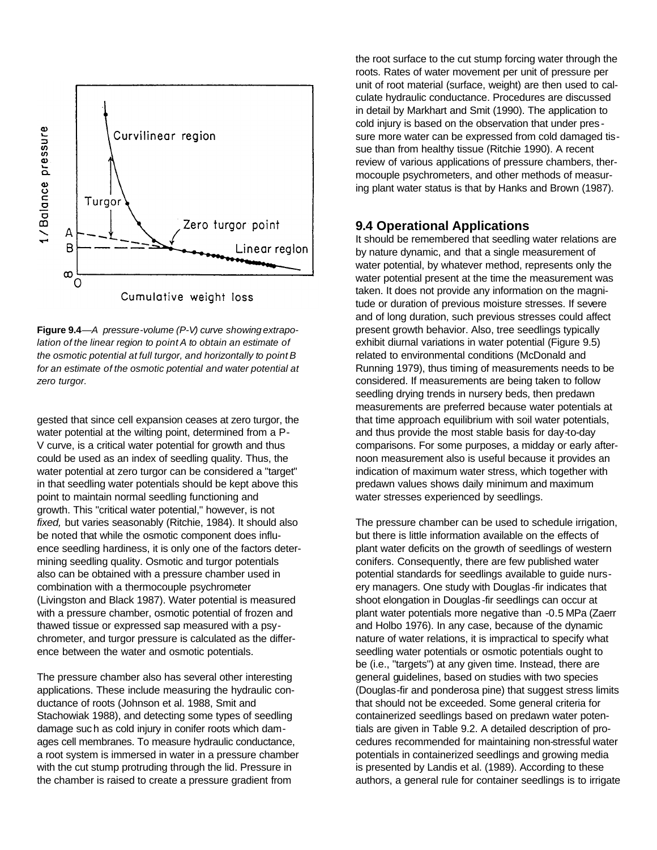

**Figure 9.4***—A pressure-volume (P-V) curve showing extrapolation of the linear region to point A to obtain an estimate of the osmotic potential at full turgor, and horizontally to point B for an estimate of the osmotic potential and water potential at zero turgor.*

gested that since cell expansion ceases at zero turgor, the water potential at the wilting point, determined from a P-V curve, is a critical water potential for growth and thus could be used as an index of seedling quality. Thus, the water potential at zero turgor can be considered a "target" in that seedling water potentials should be kept above this point to maintain normal seedling functioning and growth. This "critical water potential," however, is not *fixed,* but varies seasonably (Ritchie, 1984). It should also be noted that while the osmotic component does influence seedling hardiness, it is only one of the factors determining seedling quality. Osmotic and turgor potentials also can be obtained with a pressure chamber used in combination with a thermocouple psychrometer (Livingston and Black 1987). Water potential is measured with a pressure chamber, osmotic potential of frozen and thawed tissue or expressed sap measured with a psychrometer, and turgor pressure is calculated as the difference between the water and osmotic potentials.

The pressure chamber also has several other interesting applications. These include measuring the hydraulic conductance of roots (Johnson et al. 1988, Smit and Stachowiak 1988), and detecting some types of seedling damage such as cold injury in conifer roots which damages cell membranes. To measure hydraulic conductance, a root system is immersed in water in a pressure chamber with the cut stump protruding through the lid. Pressure in the chamber is raised to create a pressure gradient from

the root surface to the cut stump forcing water through the roots. Rates of water movement per unit of pressure per unit of root material (surface, weight) are then used to calculate hydraulic conductance. Procedures are discussed in detail by Markhart and Smit (1990). The application to cold injury is based on the observation that under pres sure more water can be expressed from cold damaged tissue than from healthy tissue (Ritchie 1990). A recent review of various applications of pressure chambers, thermocouple psychrometers, and other methods of measuring plant water status is that by Hanks and Brown (1987).

#### **9.4 Operational Applications**

It should be remembered that seedling water relations are by nature dynamic, and that a single measurement of water potential, by whatever method, represents only the water potential present at the time the measurement was taken. It does not provide any information on the magnitude or duration of previous moisture stresses. If severe and of long duration, such previous stresses could affect present growth behavior. Also, tree seedlings typically exhibit diurnal variations in water potential (Figure 9.5) related to environmental conditions (McDonald and Running 1979), thus timing of measurements needs to be considered. If measurements are being taken to follow seedling drying trends in nursery beds, then predawn measurements are preferred because water potentials at that time approach equilibrium with soil water potentials, and thus provide the most stable basis for day-to-day comparisons. For some purposes, a midday or early afternoon measurement also is useful because it provides an indication of maximum water stress, which together with predawn values shows daily minimum and maximum water stresses experienced by seedlings.

The pressure chamber can be used to schedule irrigation, but there is little information available on the effects of plant water deficits on the growth of seedlings of western conifers. Consequently, there are few published water potential standards for seedlings available to guide nursery managers. One study with Douglas -fir indicates that shoot elongation in Douglas -fir seedlings can occur at plant water potentials more negative than -0.5 MPa (Zaerr and Holbo 1976). In any case, because of the dynamic nature of water relations, it is impractical to specify what seedling water potentials or osmotic potentials ought to be (i.e., "targets") at any given time. Instead, there are general guidelines, based on studies with two species (Douglas-fir and ponderosa pine) that suggest stress limits that should not be exceeded. Some general criteria for containerized seedlings based on predawn water potentials are given in Table 9.2. A detailed description of procedures recommended for maintaining non-stressful water potentials in containerized seedlings and growing media is presented by Landis et al. (1989). According to these authors, a general rule for container seedlings is to irrigate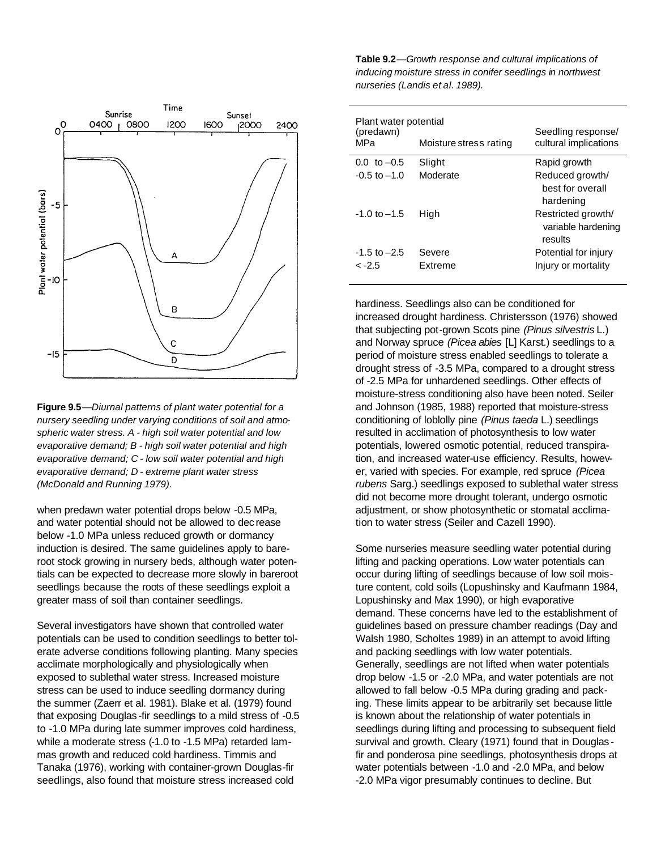

**Figure 9.5**—*Diurnal patterns of plant water potential for a nursery seedling under varying conditions of soil and atmospheric water stress. A - high soil water potential and low evaporative demand; B - high soil water potential and high evaporative demand; C - low soil water potential and high evaporative demand; D - extreme plant water stress (McDonald and Running 1979).*

when predawn water potential drops below -0.5 MPa, and water potential should not be allowed to dec rease below -1.0 MPa unless reduced growth or dormancy induction is desired. The same guidelines apply to bareroot stock growing in nursery beds, although water potentials can be expected to decrease more slowly in bareroot seedlings because the roots of these seedlings exploit a greater mass of soil than container seedlings.

Several investigators have shown that controlled water potentials can be used to condition seedlings to better tolerate adverse conditions following planting. Many species acclimate morphologically and physiologically when exposed to sublethal water stress. Increased moisture stress can be used to induce seedling dormancy during the summer (Zaerr et al. 1981). Blake et al. (1979) found that exposing Douglas -fir seedlings to a mild stress of -0.5 to -1.0 MPa during late summer improves cold hardiness, while a moderate stress (-1.0 to -1.5 MPa) retarded lammas growth and reduced cold hardiness. Timmis and Tanaka (1976), working with container-grown Douglas-fir seedlings, also found that moisture stress increased cold

**Table 9.2***—Growth response and cultural implications of inducing moisture stress in conifer seedlings in northwest nurseries (Landis et al. 1989).*

| Plant water potential<br>(predawn)<br>MPa | Moisture stress rating | Seedling response/<br>cultural implications         |
|-------------------------------------------|------------------------|-----------------------------------------------------|
| $0.0, \text{ to } -0.5$                   | Slight                 | Rapid growth                                        |
| $-0.5$ to $-1.0$                          | Moderate               | Reduced growth/<br>best for overall<br>hardening    |
| $-1.0$ to $-1.5$                          | High                   | Restricted growth/<br>variable hardening<br>results |
| $-1.5$ to $-2.5$                          | Severe                 | Potential for injury                                |
| $-2.5$                                    | Extreme                | Injury or mortality                                 |

hardiness. Seedlings also can be conditioned for increased drought hardiness. Christersson (1976) showed that subjecting pot-grown Scots pine *(Pinus silvestris* L.) and Norway spruce *(Picea abies* [L] Karst.) seedlings to a period of moisture stress enabled seedlings to tolerate a drought stress of -3.5 MPa, compared to a drought stress of -2.5 MPa for unhardened seedlings. Other effects of moisture-stress conditioning also have been noted. Seiler and Johnson (1985, 1988) reported that moisture-stress conditioning of loblolly pine *(Pinus taeda* L.) seedlings resulted in acclimation of photosynthesis to low water potentials, lowered osmotic potential, reduced transpiration, and increased water-use efficiency. Results, however, varied with species. For example, red spruce *(Picea rubens* Sarg.) seedlings exposed to sublethal water stress did not become more drought tolerant, undergo osmotic adjustment, or show photosynthetic or stomatal acclimation to water stress (Seiler and Cazell 1990).

Some nurseries measure seedling water potential during lifting and packing operations. Low water potentials can occur during lifting of seedlings because of low soil moisture content, cold soils (Lopushinsky and Kaufmann 1984, Lopushinsky and Max 1990), or high evaporative demand. These concerns have led to the establishment of guidelines based on pressure chamber readings (Day and Walsh 1980, Scholtes 1989) in an attempt to avoid lifting and packing seedlings with low water potentials. Generally, seedlings are not lifted when water potentials drop below -1.5 or -2.0 MPa, and water potentials are not allowed to fall below -0.5 MPa during grading and packing. These limits appear to be arbitrarily set because little is known about the relationship of water potentials in seedlings during lifting and processing to subsequent field survival and growth. Cleary (1971) found that in Douglas fir and ponderosa pine seedlings, photosynthesis drops at water potentials between -1.0 and -2.0 MPa, and below -2.0 MPa vigor presumably continues to decline. But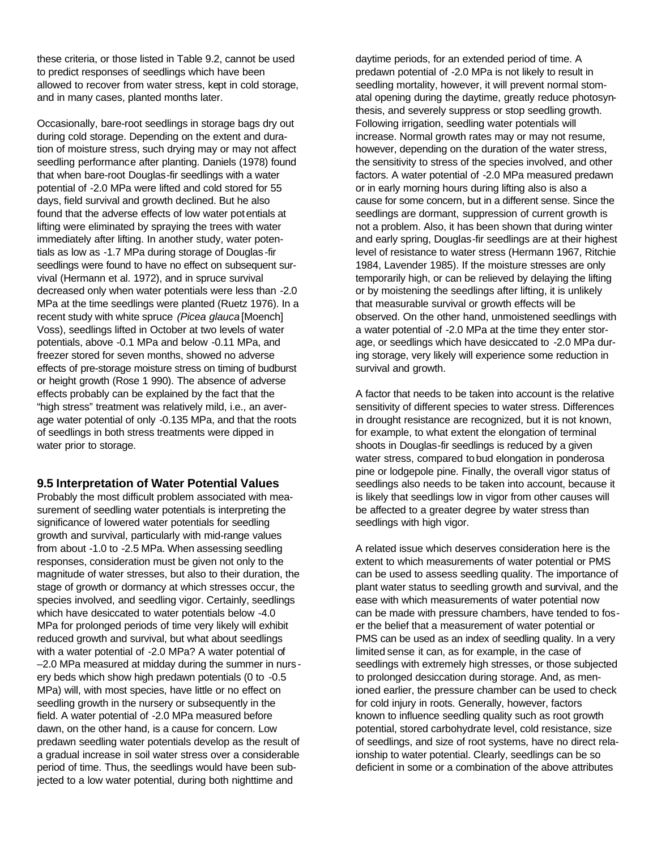these criteria, or those listed in Table 9.2, cannot be used to predict responses of seedlings which have been allowed to recover from water stress, kept in cold storage, and in many cases, planted months later.

Occasionally, bare-root seedlings in storage bags dry out during cold storage. Depending on the extent and duration of moisture stress, such drying may or may not affect seedling performance after planting. Daniels (1978) found that when bare-root Douglas-fir seedlings with a water potential of -2.0 MPa were lifted and cold stored for 55 days, field survival and growth declined. But he also found that the adverse effects of low water potentials at lifting were eliminated by spraying the trees with water immediately after lifting. In another study, water potentials as low as -1.7 MPa during storage of Douglas -fir seedlings were found to have no effect on subsequent survival (Hermann et al. 1972), and in spruce survival decreased only when water potentials were less than -2.0 MPa at the time seedlings were planted (Ruetz 1976). In a recent study with white spruce *(Picea glauca* [Moench] Voss), seedlings lifted in October at two levels of water potentials, above -0.1 MPa and below -0.11 MPa, and freezer stored for seven months, showed no adverse effects of pre-storage moisture stress on timing of budburst or height growth (Rose 1 990). The absence of adverse effects probably can be explained by the fact that the "high stress" treatment was relatively mild, i.e., an average water potential of only -0.135 MPa, and that the roots of seedlings in both stress treatments were dipped in water prior to storage.

#### **9.5 Interpretation of Water Potential Values**

Probably the most difficult problem associated with measurement of seedling water potentials is interpreting the significance of lowered water potentials for seedling growth and survival, particularly with mid-range values from about -1.0 to -2.5 MPa. When assessing seedling responses, consideration must be given not only to the magnitude of water stresses, but also to their duration, the stage of growth or dormancy at which stresses occur, the species involved, and seedling vigor. Certainly, seedlings which have desiccated to water potentials below -4.0 MPa for prolonged periods of time very likely will exhibit reduced growth and survival, but what about seedlings with a water potential of -2.0 MPa? A water potential of –2.0 MPa measured at midday during the summer in nurs ery beds which show high predawn potentials (0 to -0.5 MPa) will, with most species, have little or no effect on seedling growth in the nursery or subsequently in the field. A water potential of -2.0 MPa measured before dawn, on the other hand, is a cause for concern. Low predawn seedling water potentials develop as the result of a gradual increase in soil water stress over a considerable period of time. Thus, the seedlings would have been subjected to a low water potential, during both nighttime and

daytime periods, for an extended period of time. A predawn potential of -2.0 MPa is not likely to result in seedling mortality, however, it will prevent normal stomatal opening during the daytime, greatly reduce photosynthesis, and severely suppress or stop seedling growth. Following irrigation, seedling water potentials will increase. Normal growth rates may or may not resume, however, depending on the duration of the water stress, the sensitivity to stress of the species involved, and other factors. A water potential of -2.0 MPa measured predawn or in early morning hours during lifting also is also a cause for some concern, but in a different sense. Since the seedlings are dormant, suppression of current growth is not a problem. Also, it has been shown that during winter and early spring, Douglas-fir seedlings are at their highest level of resistance to water stress (Hermann 1967, Ritchie 1984, Lavender 1985). If the moisture stresses are only temporarily high, or can be relieved by delaying the lifting or by moistening the seedlings after lifting, it is unlikely that measurable survival or growth effects will be observed. On the other hand, unmoistened seedlings with a water potential of -2.0 MPa at the time they enter storage, or seedlings which have desiccated to -2.0 MPa during storage, very likely will experience some reduction in survival and growth.

A factor that needs to be taken into account is the relative sensitivity of different species to water stress. Differences in drought resistance are recognized, but it is not known, for example, to what extent the elongation of terminal shoots in Douglas-fir seedlings is reduced by a given water stress, compared to bud elongation in ponderosa pine or lodgepole pine. Finally, the overall vigor status of seedlings also needs to be taken into account, because it is likely that seedlings low in vigor from other causes will be affected to a greater degree by water stress than seedlings with high vigor.

A related issue which deserves consideration here is the extent to which measurements of water potential or PMS can be used to assess seedling quality. The importance of plant water status to seedling growth and survival, and the ease with which measurements of water potential now can be made with pressure chambers, have tended to foser the belief that a measurement of water potential or PMS can be used as an index of seedling quality. In a very limited sense it can, as for example, in the case of seedlings with extremely high stresses, or those subjected to prolonged desiccation during storage. And, as menioned earlier, the pressure chamber can be used to check for cold injury in roots. Generally, however, factors known to influence seedling quality such as root growth potential, stored carbohydrate level, cold resistance, size of seedlings, and size of root systems, have no direct relaionship to water potential. Clearly, seedlings can be so deficient in some or a combination of the above attributes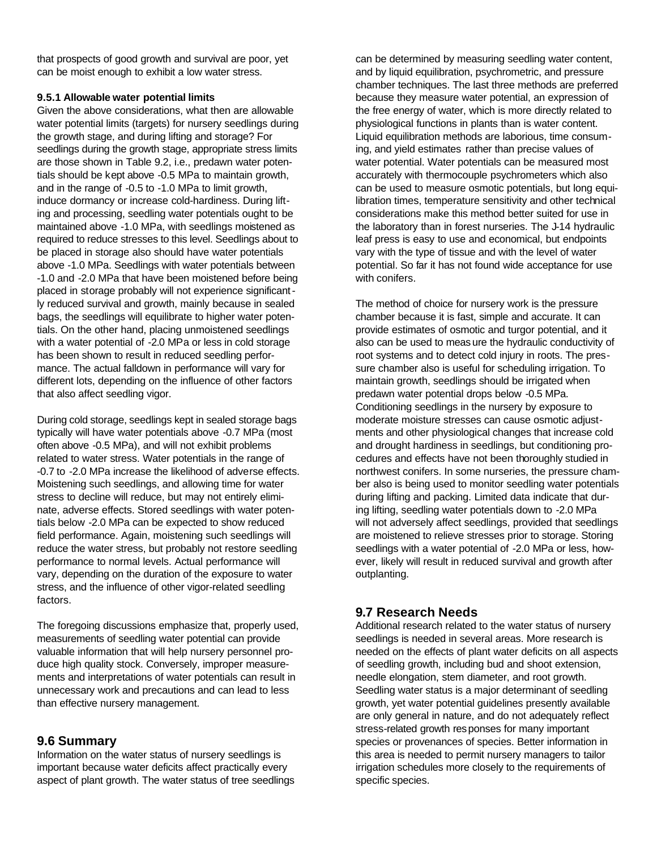that prospects of good growth and survival are poor, yet can be moist enough to exhibit a low water stress.

#### **9.5.1 Allowable water potential limits**

Given the above considerations, what then are allowable water potential limits (targets) for nursery seedlings during the growth stage, and during lifting and storage? For seedlings during the growth stage, appropriate stress limits are those shown in Table 9.2, i.e., predawn water potentials should be kept above -0.5 MPa to maintain growth, and in the range of -0.5 to -1.0 MPa to limit growth, induce dormancy or increase cold-hardiness. During lifting and processing, seedling water potentials ought to be maintained above -1.0 MPa, with seedlings moistened as required to reduce stresses to this level. Seedlings about to be placed in storage also should have water potentials above -1.0 MPa. Seedlings with water potentials between -1.0 and -2.0 MPa that have been moistened before being placed in storage probably will not experience significantly reduced survival and growth, mainly because in sealed bags, the seedlings will equilibrate to higher water potentials. On the other hand, placing unmoistened seedlings with a water potential of -2.0 MPa or less in cold storage has been shown to result in reduced seedling performance. The actual falldown in performance will vary for different lots, depending on the influence of other factors that also affect seedling vigor.

During cold storage, seedlings kept in sealed storage bags typically will have water potentials above -0.7 MPa (most often above -0.5 MPa), and will not exhibit problems related to water stress. Water potentials in the range of -0.7 to -2.0 MPa increase the likelihood of adverse effects. Moistening such seedlings, and allowing time for water stress to decline will reduce, but may not entirely eliminate, adverse effects. Stored seedlings with water potentials below -2.0 MPa can be expected to show reduced field performance. Again, moistening such seedlings will reduce the water stress, but probably not restore seedling performance to normal levels. Actual performance will vary, depending on the duration of the exposure to water stress, and the influence of other vigor-related seedling factors.

The foregoing discussions emphasize that, properly used, measurements of seedling water potential can provide valuable information that will help nursery personnel produce high quality stock. Conversely, improper measurements and interpretations of water potentials can result in unnecessary work and precautions and can lead to less than effective nursery management.

## **9.6 Summary**

Information on the water status of nursery seedlings is important because water deficits affect practically every aspect of plant growth. The water status of tree seedlings can be determined by measuring seedling water content, and by liquid equilibration, psychrometric, and pressure chamber techniques. The last three methods are preferred because they measure water potential, an expression of the free energy of water, which is more directly related to physiological functions in plants than is water content. Liquid equilibration methods are laborious, time consuming, and yield estimates rather than precise values of water potential. Water potentials can be measured most accurately with thermocouple psychrometers which also can be used to measure osmotic potentials, but long equilibration times, temperature sensitivity and other technical considerations make this method better suited for use in the laboratory than in forest nurseries. The J-14 hydraulic leaf press is easy to use and economical, but endpoints vary with the type of tissue and with the level of water potential. So far it has not found wide acceptance for use with conifers.

The method of choice for nursery work is the pressure chamber because it is fast, simple and accurate. It can provide estimates of osmotic and turgor potential, and it also can be used to meas ure the hydraulic conductivity of root systems and to detect cold injury in roots. The pressure chamber also is useful for scheduling irrigation. To maintain growth, seedlings should be irrigated when predawn water potential drops below -0.5 MPa. Conditioning seedlings in the nursery by exposure to moderate moisture stresses can cause osmotic adjustments and other physiological changes that increase cold and drought hardiness in seedlings, but conditioning procedures and effects have not been thoroughly studied in northwest conifers. In some nurseries, the pressure chamber also is being used to monitor seedling water potentials during lifting and packing. Limited data indicate that during lifting, seedling water potentials down to -2.0 MPa will not adversely affect seedlings, provided that seedlings are moistened to relieve stresses prior to storage. Storing seedlings with a water potential of -2.0 MPa or less, however, likely will result in reduced survival and growth after outplanting.

## **9.7 Research Needs**

Additional research related to the water status of nursery seedlings is needed in several areas. More research is needed on the effects of plant water deficits on all aspects of seedling growth, including bud and shoot extension, needle elongation, stem diameter, and root growth. Seedling water status is a major determinant of seedling growth, yet water potential guidelines presently available are only general in nature, and do not adequately reflect stress-related growth responses for many important species or provenances of species. Better information in this area is needed to permit nursery managers to tailor irrigation schedules more closely to the requirements of specific species.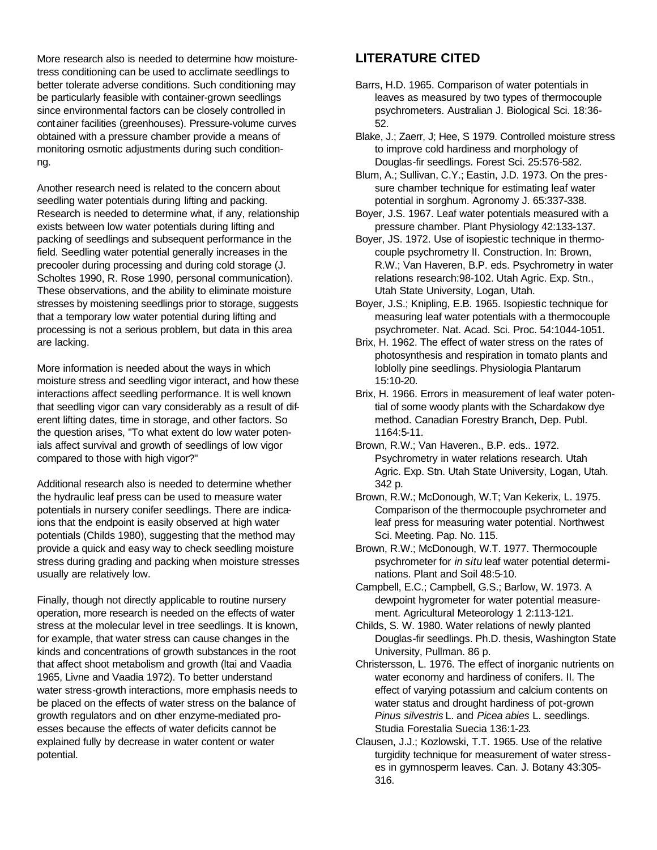More research also is needed to determine how moisturetress conditioning can be used to acclimate seedlings to better tolerate adverse conditions. Such conditioning may be particularly feasible with container-grown seedlings since environmental factors can be closely controlled in container facilities (greenhouses). Pressure-volume curves obtained with a pressure chamber provide a means of monitoring osmotic adjustments during such conditionng.

Another research need is related to the concern about seedling water potentials during lifting and packing. Research is needed to determine what, if any, relationship exists between low water potentials during lifting and packing of seedlings and subsequent performance in the field. Seedling water potential generally increases in the precooler during processing and during cold storage (J. Scholtes 1990, R. Rose 1990, personal communication). These observations, and the ability to eliminate moisture stresses by moistening seedlings prior to storage, suggests that a temporary low water potential during lifting and processing is not a serious problem, but data in this area are lacking.

More information is needed about the ways in which moisture stress and seedling vigor interact, and how these interactions affect seedling performance. It is well known that seedling vigor can vary considerably as a result of diferent lifting dates, time in storage, and other factors. So the question arises, "To what extent do low water potenials affect survival and growth of seedlings of low vigor compared to those with high vigor?"

Additional research also is needed to determine whether the hydraulic leaf press can be used to measure water potentials in nursery conifer seedlings. There are indicaions that the endpoint is easily observed at high water potentials (Childs 1980), suggesting that the method may provide a quick and easy way to check seedling moisture stress during grading and packing when moisture stresses usually are relatively low.

Finally, though not directly applicable to routine nursery operation, more research is needed on the effects of water stress at the molecular level in tree seedlings. It is known, for example, that water stress can cause changes in the kinds and concentrations of growth substances in the root that affect shoot metabolism and growth (ltai and Vaadia 1965, Livne and Vaadia 1972). To better understand water stress-growth interactions, more emphasis needs to be placed on the effects of water stress on the balance of growth regulators and on other enzyme-mediated proesses because the effects of water deficits cannot be explained fully by decrease in water content or water potential.

## **LITERATURE CITED**

- Barrs, H.D. 1965. Comparison of water potentials in leaves as measured by two types of thermocouple psychrometers. Australian J. Biological Sci. 18:36- 52.
- Blake, J.; Zaerr, J; Hee, S 1979. Controlled moisture stress to improve cold hardiness and morphology of Douglas-fir seedlings. Forest Sci. 25:576-582.
- Blum, A.; Sullivan, C.Y.; Eastin, J.D. 1973. On the pressure chamber technique for estimating leaf water potential in sorghum. Agronomy J. 65:337-338.
- Boyer, J.S. 1967. Leaf water potentials measured with a pressure chamber. Plant Physiology 42:133-137.
- Boyer, JS. 1972. Use of isopiestic technique in thermocouple psychrometry II. Construction. In: Brown, R.W.; Van Haveren, B.P. eds. Psychrometry in water relations research:98-102. Utah Agric. Exp. Stn., Utah State University, Logan, Utah.
- Boyer, J.S.; Knipling, E.B. 1965. Isopiestic technique for measuring leaf water potentials with a thermocouple psychrometer. Nat. Acad. Sci. Proc. 54:1044-1051.
- Brix, H. 1962. The effect of water stress on the rates of photosynthesis and respiration in tomato plants and loblolly pine seedlings. Physiologia Plantarum 15:10-20.
- Brix, H. 1966. Errors in measurement of leaf water potential of some woody plants with the Schardakow dye method. Canadian Forestry Branch, Dep. Publ. 1164:5-11.
- Brown, R.W.; Van Haveren., B.P. eds.. 1972. Psychrometry in water relations research. Utah Agric. Exp. Stn. Utah State University, Logan, Utah. 342 p.
- Brown, R.W.; McDonough, W.T; Van Kekerix, L. 1975. Comparison of the thermocouple psychrometer and leaf press for measuring water potential. Northwest Sci. Meeting. Pap. No. 115.
- Brown, R.W.; McDonough, W.T. 1977. Thermocouple psychrometer for *in situ* leaf water potential determinations. Plant and Soil 48:5-10.
- Campbell, E.C.; Campbell, G.S.; Barlow, W. 1973. A dewpoint hygrometer for water potential measurement. Agricultural Meteorology 1 2:113-121.
- Childs, S. W. 1980. Water relations of newly planted Douglas-fir seedlings. Ph.D. thesis, Washington State University, Pullman. 86 p.
- Christersson, L. 1976. The effect of inorganic nutrients on water economy and hardiness of conifers. II. The effect of varying potassium and calcium contents on water status and drought hardiness of pot-grown *Pinus silvestris* L. and *Picea abies* L. seedlings. Studia Forestalia Suecia 136:1-23.
- Clausen, J.J.; Kozlowski, T.T. 1965. Use of the relative turgidity technique for measurement of water stresses in gymnosperm leaves. Can. J. Botany 43:305- 316.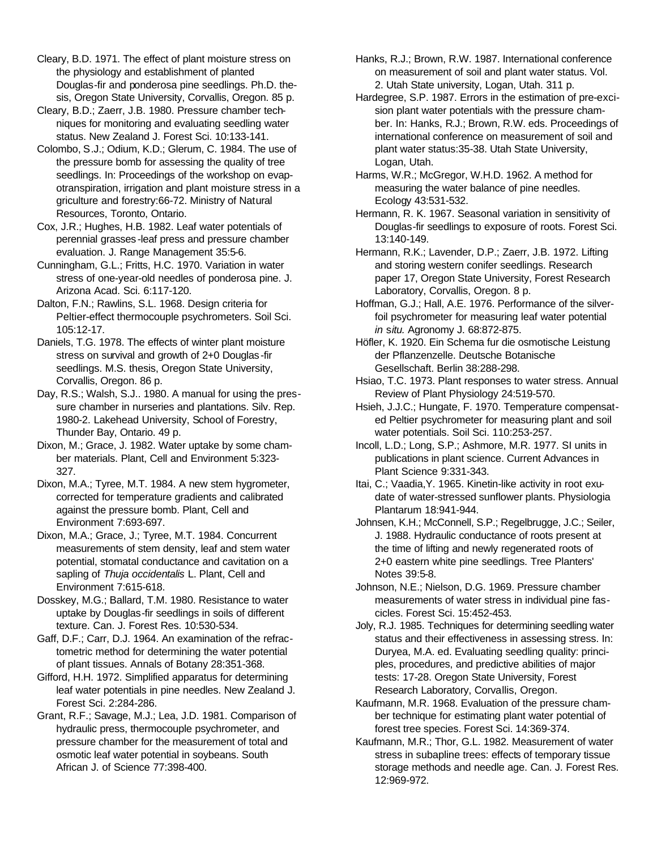Cleary, B.D. 1971. The effect of plant moisture stress on the physiology and establishment of planted Douglas-fir and ponderosa pine seedlings. Ph.D. thesis, Oregon State University, Corvallis, Oregon. 85 p.

Cleary, B.D.; Zaerr, J.B. 1980. Pressure chamber techniques for monitoring and evaluating seedling water status. New Zealand J. Forest Sci. 10:133-141.

Colombo, S.J.; Odium, K.D.; Glerum, C. 1984. The use of the pressure bomb for assessing the quality of tree seedlings. In: Proceedings of the workshop on evapotranspiration, irrigation and plant moisture stress in a griculture and forestry:66-72. Ministry of Natural Resources, Toronto, Ontario.

Cox, J.R.; Hughes, H.B. 1982. Leaf water potentials of perennial grasses -leaf press and pressure chamber evaluation. J. Range Management 35:5-6.

Cunningham, G.L.; Fritts, H.C. 1970. Variation in water stress of one-year-old needles of ponderosa pine. J. Arizona Acad. Sci. 6:117-120.

Dalton, F.N.; Rawlins, S.L. 1968. Design criteria for Peltier-effect thermocouple psychrometers. Soil Sci. 105:12-17.

Daniels, T.G. 1978. The effects of winter plant moisture stress on survival and growth of 2+0 Douglas -fir seedlings. M.S. thesis, Oregon State University, Corvallis, Oregon. 86 p.

Day, R.S.; Walsh, S.J.. 1980. A manual for using the pressure chamber in nurseries and plantations. Silv. Rep. 1980-2. Lakehead University, School of Forestry, Thunder Bay, Ontario. 49 p.

Dixon, M.; Grace, J. 1982. Water uptake by some chamber materials. Plant, Cell and Environment 5:323- 327.

Dixon, M.A.; Tyree, M.T. 1984. A new stem hygrometer, corrected for temperature gradients and calibrated against the pressure bomb. Plant, Cell and Environment 7:693-697.

Dixon, M.A.; Grace, J.; Tyree, M.T. 1984. Concurrent measurements of stem density, leaf and stem water potential, stomatal conductance and cavitation on a sapling of *Thuja occidentalis* L. Plant, Cell and Environment 7:615-618.

Dosskey, M.G.; Ballard, T.M. 1980. Resistance to water uptake by Douglas-fir seedlings in soils of different texture. Can. J. Forest Res. 10:530-534.

Gaff, D.F.; Carr, D.J. 1964. An examination of the refractometric method for determining the water potential of plant tissues. Annals of Botany 28:351-368.

Gifford, H.H. 1972. Simplified apparatus for determining leaf water potentials in pine needles. New Zealand J. Forest Sci. 2:284-286.

Grant, R.F.; Savage, M.J.; Lea, J.D. 1981. Comparison of hydraulic press, thermocouple psychrometer, and pressure chamber for the measurement of total and osmotic leaf water potential in soybeans. South African J. of Science 77:398-400.

Hanks, R.J.; Brown, R.W. 1987. International conference on measurement of soil and plant water status. Vol. 2. Utah State university, Logan, Utah. 311 p.

Hardegree, S.P. 1987. Errors in the estimation of pre-excision plant water potentials with the pressure chamber. In: Hanks, R.J.; Brown, R.W. eds. Proceedings of international conference on measurement of soil and plant water status:35-38. Utah State University, Logan, Utah.

Harms, W.R.; McGregor, W.H.D. 1962. A method for measuring the water balance of pine needles. Ecology 43:531-532.

Hermann, R. K. 1967. Seasonal variation in sensitivity of Douglas-fir seedlings to exposure of roots. Forest Sci. 13:140-149.

Hermann, R.K.; Lavender, D.P.; Zaerr, J.B. 1972. Lifting and storing western conifer seedlings. Research paper 17, Oregon State University, Forest Research Laboratory, Corvallis, Oregon. 8 p.

Hoffman, G.J.; Hall, A.E. 1976. Performance of the silverfoil psychrometer for measuring leaf water potential *in* s*itu.* Agronomy J. 68:872-875.

Höfler, K. 1920. Ein Schema fur die osmotische Leistung der Pflanzenzelle. Deutsche Botanische Gesellschaft. Berlin 38:288-298.

Hsiao, T.C. 1973. Plant responses to water stress. Annual Review of Plant Physiology 24:519-570.

Hsieh, J.J.C.; Hungate, F. 1970. Temperature compensated Peltier psychrometer for measuring plant and soil water potentials. Soil Sci. 110:253-257.

Incoll, L.D.; Long, S.P.; Ashmore, M.R. 1977. SI units in publications in plant science. Current Advances in Plant Science 9:331-343.

Itai, C.; Vaadia,Y. 1965. Kinetin-like activity in root exudate of water-stressed sunflower plants. Physiologia Plantarum 18:941-944.

Johnsen, K.H.; McConnell, S.P.; Regelbrugge, J.C.; Seiler, J. 1988. Hydraulic conductance of roots present at the time of lifting and newly regenerated roots of 2+0 eastern white pine seedlings. Tree Planters' Notes 39:5-8.

Johnson, N.E.; Nielson, D.G. 1969. Pressure chamber measurements of water stress in individual pine fascicles. Forest Sci. 15:452-453.

Joly, R.J. 1985. Techniques for determining seedling water status and their effectiveness in assessing stress. In: Duryea, M.A. ed. Evaluating seedling quality: principles, procedures, and predictive abilities of major tests: 17-28. Oregon State University, Forest Research Laboratory, Corvallis, Oregon.

Kaufmann, M.R. 1968. Evaluation of the pressure chamber technique for estimating plant water potential of forest tree species. Forest Sci. 14:369-374.

Kaufmann, M.R.; Thor, G.L. 1982. Measurement of water stress in subapline trees: effects of temporary tissue storage methods and needle age. Can. J. Forest Res. 12:969-972.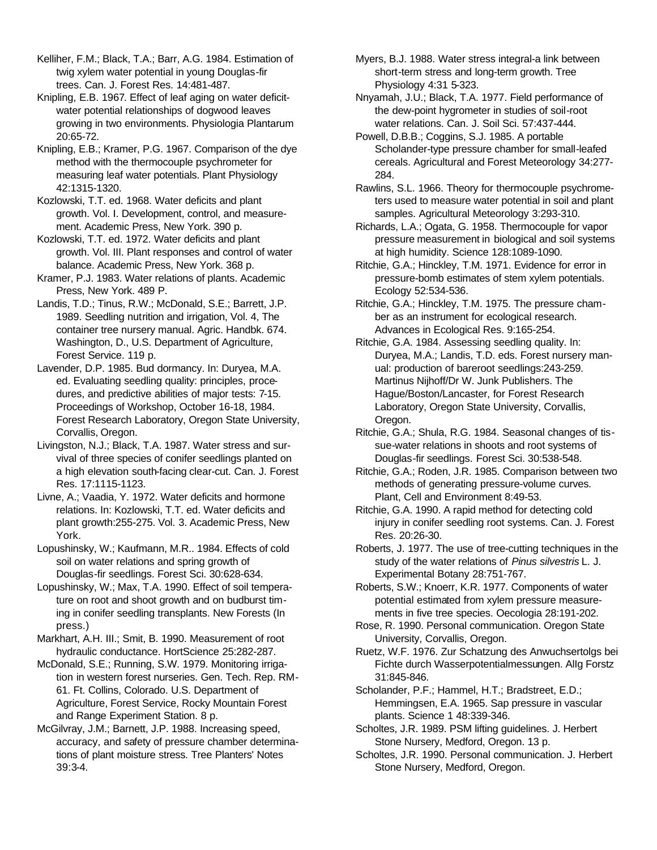Kelliher, F.M.; Black, T.A.; Barr, A.G. 1984. Estimation of twig xylem water potential in young Douglas-fir trees. Can. J. Forest Res. 14:481-487.

Knipling, E.B. 1967. Effect of leaf aging on water deficitwater potential relationships of dogwood leaves growing in two environments. Physiologia Plantarum 20:65-72.

Knipling, E.B.; Kramer, P.G. 1967. Comparison of the dye method with the thermocouple psychrometer for measuring leaf water potentials. Plant Physiology 42:1315-1320.

Kozlowski, T.T. ed. 1968. Water deficits and plant growth. Vol. I. Development, control, and measurement. Academic Press, New York. 390 p.

Kozlowski, T.T. ed. 1972. Water deficits and plant growth. Vol. III. Plant responses and control of water balance. Academic Press, New York. 368 p.

Kramer, P.J. 1983. Water relations of plants. Academic Press, New York. 489 P.

Landis, T.D.; Tinus, R.W.; McDonald, S.E.; Barrett, J.P. 1989. Seedling nutrition and irrigation, Vol. 4, The container tree nursery manual. Agric. Handbk. 674. Washington, D., U.S. Department of Agriculture, Forest Service. 119 p.

Lavender, D.P. 1985. Bud dormancy. In: Duryea, M.A. ed. Evaluating seedling quality: principles, procedures, and predictive abilities of major tests: 7-15. Proceedings of Workshop, October 16-18, 1984. Forest Research Laboratory, Oregon State University, Corvallis, Oregon.

Livingston, N.J.; Black, T.A. 1987. Water stress and survival of three species of conifer seedlings planted on a high elevation south-facing clear-cut. Can. J. Forest Res. 17:1115-1123.

Livne, A.; Vaadia, Y. 1972. Water deficits and hormone relations. In: Kozlowski, T.T. ed. Water deficits and plant growth:255-275. Vol. 3. Academic Press, New York.

Lopushinsky, W.; Kaufmann, M.R.. 1984. Effects of cold soil on water relations and spring growth of Douglas-fir seedlings. Forest Sci. 30:628-634.

Lopushinsky, W.; Max, T.A. 1990. Effect of soil temperature on root and shoot growth and on budburst timing in conifer seedling transplants. New Forests (In press.)

Markhart, A.H. III.; Smit, B. 1990. Measurement of root hydraulic conductance. HortScience 25:282-287.

McDonald, S.E.; Running, S.W. 1979. Monitoring irrigation in western forest nurseries. Gen. Tech. Rep. RM-61. Ft. Collins, Colorado. U.S. Department of Agriculture, Forest Service, Rocky Mountain Forest and Range Experiment Station. 8 p.

McGilvray, J.M.; Barnett, J.P. 1988. Increasing speed, accuracy, and safety of pressure chamber determinations of plant moisture stress. Tree Planters' Notes 39:3-4.

Myers, B.J. 1988. Water stress integral-a link between short-term stress and long-term growth. Tree Physiology 4:31 5-323.

Nnyamah, J.U.; Black, T.A. 1977. Field performance of the dew-point hygrometer in studies of soil-root water relations. Can. J. Soil Sci. 57:437-444.

Powell, D.B.B.; Coggins, S.J. 1985. A portable Scholander-type pressure chamber for small-leafed cereals. Agricultural and Forest Meteorology 34:277- 284.

Rawlins, S.L. 1966. Theory for thermocouple psychrometers used to measure water potential in soil and plant samples. Agricultural Meteorology 3:293-310.

Richards, L.A.; Ogata, G. 1958. Thermocouple for vapor pressure measurement in biological and soil systems at high humidity. Science 128:1089-1090.

Ritchie, G.A.; Hinckley, T.M. 1971. Evidence for error in pressure-bomb estimates of stem xylem potentials. Ecology 52:534-536.

Ritchie, G.A.; Hinckley, T.M. 1975. The pressure chamber as an instrument for ecological research. Advances in Ecological Res. 9:165-254.

Ritchie, G.A. 1984. Assessing seedling quality. In: Duryea, M.A.; Landis, T.D. eds. Forest nursery manual: production of bareroot seedlings:243-259. Martinus Nijhoff/Dr W. Junk Publishers. The Hague/Boston/Lancaster, for Forest Research Laboratory, Oregon State University, Corvallis, Oregon.

Ritchie, G.A.; Shula, R.G. 1984. Seasonal changes of tissue-water relations in shoots and root systems of Douglas-fir seedlings. Forest Sci. 30:538-548.

Ritchie, G.A.; Roden, J.R. 1985. Comparison between two methods of generating pressure-volume curves. Plant, Cell and Environment 8:49-53.

Ritchie, G.A. 1990. A rapid method for detecting cold injury in conifer seedling root systems. Can. J. Forest Res. 20:26-30.

Roberts, J. 1977. The use of tree-cutting techniques in the study of the water relations of *Pinus silvestris* L. J. Experimental Botany 28:751-767.

Roberts, S.W.; Knoerr, K.R. 1977. Components of water potential estimated from xylem pressure measurements in five tree species. Oecologia 28:191-202.

Rose, R. 1990. Personal communication. Oregon State University, Corvallis, Oregon.

Ruetz, W.F. 1976. Zur Schatzung des Anwuchsertolgs bei Fichte durch Wasserpotentialmessungen. AlIg Forstz 31:845-846.

Scholander, P.F.; Hammel, H.T.; Bradstreet, E.D.; Hemmingsen, E.A. 1965. Sap pressure in vascular plants. Science 1 48:339-346.

Scholtes, J.R. 1989. PSM lifting guidelines. J. Herbert Stone Nursery, Medford, Oregon. 13 p.

Scholtes, J.R. 1990. Personal communication. J. Herbert Stone Nursery, Medford, Oregon.